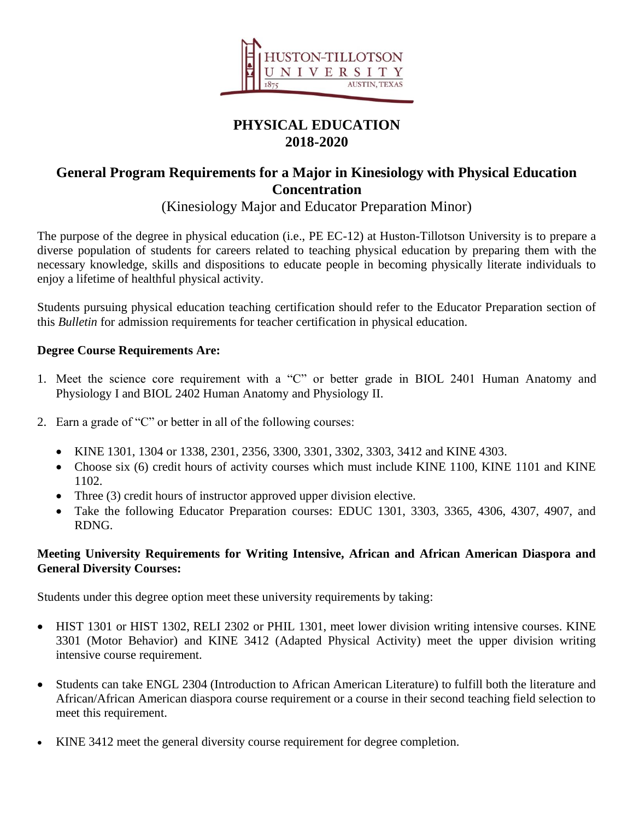

# **PHYSICAL EDUCATION 2018-2020**

## **General Program Requirements for a Major in Kinesiology with Physical Education Concentration**

(Kinesiology Major and Educator Preparation Minor)

The purpose of the degree in physical education (i.e., PE EC-12) at Huston-Tillotson University is to prepare a diverse population of students for careers related to teaching physical education by preparing them with the necessary knowledge, skills and dispositions to educate people in becoming physically literate individuals to enjoy a lifetime of healthful physical activity.

Students pursuing physical education teaching certification should refer to the Educator Preparation section of this *Bulletin* for admission requirements for teacher certification in physical education.

#### **Degree Course Requirements Are:**

- 1. Meet the science core requirement with a "C" or better grade in BIOL 2401 Human Anatomy and Physiology I and BIOL 2402 Human Anatomy and Physiology II.
- 2. Earn a grade of "C" or better in all of the following courses:
	- KINE 1301, 1304 or 1338, 2301, 2356, 3300, 3301, 3302, 3303, 3412 and KINE 4303.
	- Choose six (6) credit hours of activity courses which must include KINE 1100, KINE 1101 and KINE 1102.
	- Three (3) credit hours of instructor approved upper division elective.
	- Take the following Educator Preparation courses: EDUC 1301, 3303, 3365, 4306, 4307, 4907, and RDNG.

#### **Meeting University Requirements for Writing Intensive, African and African American Diaspora and General Diversity Courses:**

Students under this degree option meet these university requirements by taking:

- HIST 1301 or HIST 1302, RELI 2302 or PHIL 1301, meet lower division writing intensive courses. KINE 3301 (Motor Behavior) and KINE 3412 (Adapted Physical Activity) meet the upper division writing intensive course requirement.
- Students can take ENGL 2304 (Introduction to African American Literature) to fulfill both the literature and African/African American diaspora course requirement or a course in their second teaching field selection to meet this requirement.
- KINE 3412 meet the general diversity course requirement for degree completion.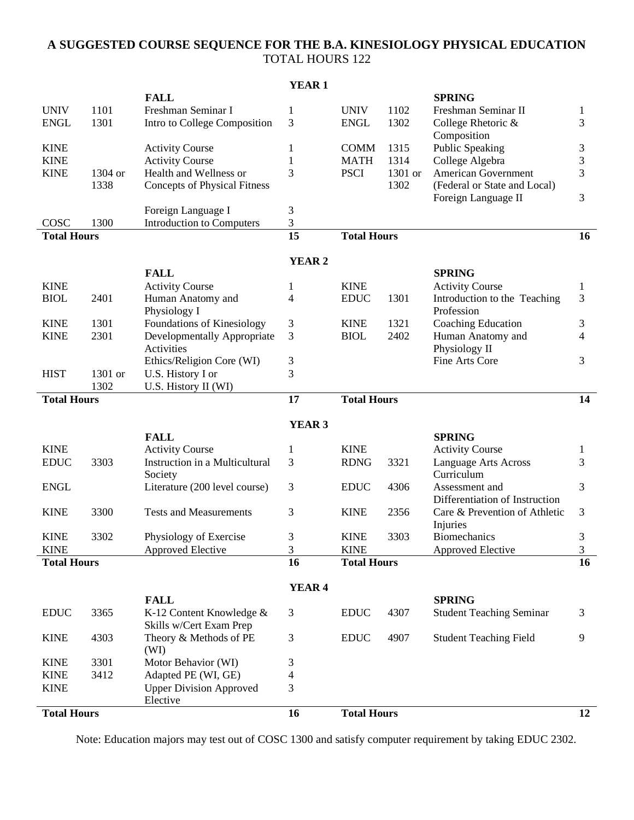## **A SUGGESTED COURSE SEQUENCE FOR THE B.A. KINESIOLOGY PHYSICAL EDUCATION** TOTAL HOURS 122

|                    |         |                                                   | <b>YEAR1</b>      |                    |         |                                                  |                         |
|--------------------|---------|---------------------------------------------------|-------------------|--------------------|---------|--------------------------------------------------|-------------------------|
|                    |         | <b>FALL</b>                                       |                   |                    |         | <b>SPRING</b>                                    |                         |
| <b>UNIV</b>        | 1101    | Freshman Seminar I                                | 1                 | <b>UNIV</b>        | 1102    | Freshman Seminar II                              | 1                       |
| <b>ENGL</b>        | 1301    | Intro to College Composition                      | 3                 | <b>ENGL</b>        | 1302    | College Rhetoric &                               | 3                       |
|                    |         |                                                   |                   |                    |         | Composition                                      |                         |
| <b>KINE</b>        |         | <b>Activity Course</b>                            | 1                 | <b>COMM</b>        | 1315    | <b>Public Speaking</b>                           | 3                       |
| <b>KINE</b>        |         | <b>Activity Course</b>                            | 1                 | <b>MATH</b>        | 1314    | College Algebra                                  | 3                       |
| <b>KINE</b>        | 1304 or | Health and Wellness or                            | 3                 | <b>PSCI</b>        | 1301 or | <b>American Government</b>                       | 3                       |
|                    | 1338    | <b>Concepts of Physical Fitness</b>               |                   |                    | 1302    | (Federal or State and Local)                     | 3                       |
|                    |         | Foreign Language I                                | 3                 |                    |         | Foreign Language II                              |                         |
| COSC               | 1300    | <b>Introduction to Computers</b>                  | $\mathfrak{Z}$    |                    |         |                                                  |                         |
| <b>Total Hours</b> |         |                                                   | $\overline{15}$   | <b>Total Hours</b> |         |                                                  | 16                      |
|                    |         |                                                   |                   |                    |         |                                                  |                         |
|                    |         |                                                   | <b>YEAR2</b>      |                    |         |                                                  |                         |
|                    |         | <b>FALL</b>                                       |                   |                    |         | <b>SPRING</b>                                    |                         |
| <b>KINE</b>        |         | <b>Activity Course</b>                            | 1                 | <b>KINE</b>        |         | <b>Activity Course</b>                           | $\mathbf{1}$            |
| <b>BIOL</b>        | 2401    | Human Anatomy and                                 | $\overline{4}$    | <b>EDUC</b>        | 1301    | Introduction to the Teaching                     | 3                       |
|                    |         | Physiology I                                      |                   |                    |         | Profession                                       |                         |
| <b>KINE</b>        | 1301    | Foundations of Kinesiology                        | 3                 | <b>KINE</b>        | 1321    | Coaching Education                               | 3                       |
| <b>KINE</b>        | 2301    | <b>Developmentally Appropriate</b>                | 3                 | <b>BIOL</b>        | 2402    | Human Anatomy and                                | $\overline{4}$          |
|                    |         | Activities<br>Ethics/Religion Core (WI)           |                   |                    |         | Physiology II<br>Fine Arts Core                  | 3                       |
| <b>HIST</b>        | 1301 or | U.S. History I or                                 | 3<br>3            |                    |         |                                                  |                         |
|                    | 1302    | U.S. History II (WI)                              |                   |                    |         |                                                  |                         |
| <b>Total Hours</b> |         |                                                   | 17                | <b>Total Hours</b> |         |                                                  | 14                      |
|                    |         |                                                   |                   |                    |         |                                                  |                         |
|                    |         |                                                   | YEAR <sub>3</sub> |                    |         |                                                  |                         |
|                    |         | <b>FALL</b>                                       |                   |                    |         | <b>SPRING</b>                                    |                         |
| <b>KINE</b>        |         | <b>Activity Course</b>                            | 1                 | <b>KINE</b>        |         | <b>Activity Course</b>                           | $\mathbf{1}$            |
| <b>EDUC</b>        | 3303    | Instruction in a Multicultural                    | 3                 | <b>RDNG</b>        | 3321    | <b>Language Arts Across</b>                      | 3                       |
| <b>ENGL</b>        |         | Society<br>Literature (200 level course)          |                   | <b>EDUC</b>        | 4306    | Curriculum                                       | 3                       |
|                    |         |                                                   | 3                 |                    |         | Assessment and<br>Differentiation of Instruction |                         |
| <b>KINE</b>        | 3300    | <b>Tests and Measurements</b>                     | 3                 | <b>KINE</b>        | 2356    | Care & Prevention of Athletic                    | 3                       |
|                    |         |                                                   |                   |                    |         | Injuries                                         |                         |
| <b>KINE</b>        | 3302    | Physiology of Exercise                            | 3                 | <b>KINE</b>        | 3303    | <b>Biomechanics</b>                              | 3                       |
| <b>KINE</b>        |         | <b>Approved Elective</b>                          | 3                 | <b>KINE</b>        |         | Approved Elective                                | $\overline{\mathbf{3}}$ |
| <b>Total Hours</b> |         |                                                   | 16                | <b>Total Hours</b> |         |                                                  | $\overline{16}$         |
|                    |         |                                                   |                   |                    |         |                                                  |                         |
|                    |         |                                                   | YEAR <sub>4</sub> |                    |         |                                                  |                         |
|                    |         | <b>FALL</b>                                       |                   |                    |         | <b>SPRING</b>                                    |                         |
| <b>EDUC</b>        | 3365    | K-12 Content Knowledge &                          | 3                 | <b>EDUC</b>        | 4307    | <b>Student Teaching Seminar</b>                  | 3                       |
| <b>KINE</b>        | 4303    | Skills w/Cert Exam Prep<br>Theory & Methods of PE | 3                 | <b>EDUC</b>        | 4907    | <b>Student Teaching Field</b>                    | 9                       |
|                    |         | (WI)                                              |                   |                    |         |                                                  |                         |
| <b>KINE</b>        | 3301    | Motor Behavior (WI)                               | 3                 |                    |         |                                                  |                         |
| <b>KINE</b>        | 3412    | Adapted PE (WI, GE)                               | 4                 |                    |         |                                                  |                         |
| <b>KINE</b>        |         | <b>Upper Division Approved</b>                    | 3                 |                    |         |                                                  |                         |
|                    |         | Elective                                          |                   |                    |         |                                                  |                         |
| <b>Total Hours</b> |         |                                                   | 16                | <b>Total Hours</b> |         |                                                  | 12                      |

Note: Education majors may test out of COSC 1300 and satisfy computer requirement by taking EDUC 2302.